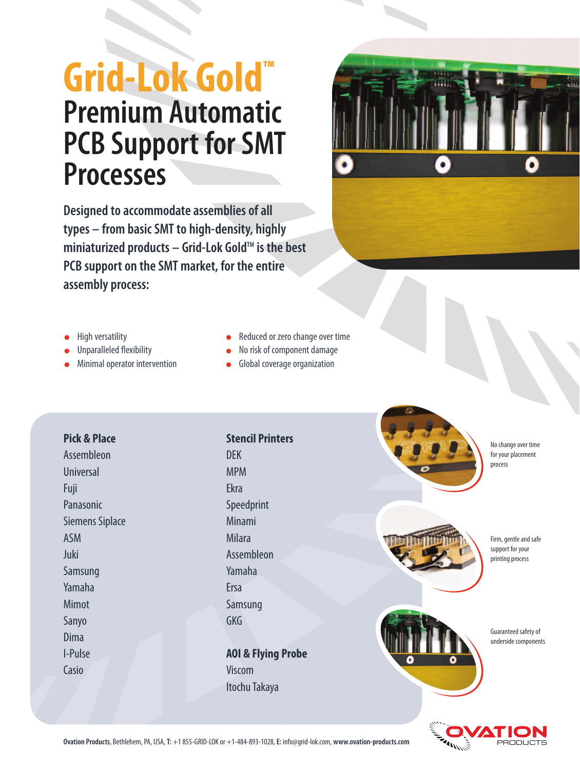# **Grid-Lok Gold™ Premium Automatic PCB Support for SMT Processes**



**Designed to accommodate assemblies of all types – from basic SMT to high-density, highly** miniaturized products – Grid-Lok Gold<sup>™</sup> is the best **PCB support on the SMT market, for the entire assembly process:**

- High versatility
- Unparalleled flexibility
- Minimal operator intervention
- Reduced or zero change over time  $\bullet$
- No risk of component damage  $\bullet$
- Global coverage organization  $\bullet$

## **Pick & Place**

Assembleon Universal Fuji Panasonic Siemens Siplace ASM Juki Samsung Yamaha Mimot Sanyo Dima I-Pulse Casio

## **Stencil Printers** DEK

MPM Ekra Speedprint Minami Milara Assembleon Yamaha Ersa Samsung GKG

**AOI & Flying Probe** Viscom Itochu Takaya







Firm, gentle and safe support for your printing process



Guaranteed safety of underside components



**Ovation Products**, Bethlehem, PA, USA, **T:** +1 855-GRID-LOK or +1-484-893-1028, **E:** info@grid-lok.com, **www.ovation-products.com** PRODUCTS